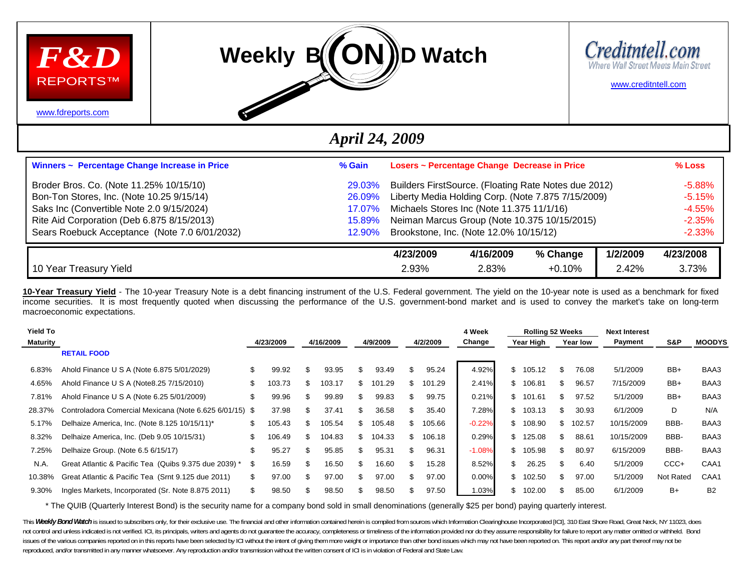





[www.creditntell.com](http://www.creditntell.com/)

[www.fdreports.com](http://www.fdreports.com/)

## *April 24, 2009*

| Winners ~ Percentage Change Increase in Price | % Gain          |           | Losers ~ Percentage Change Decrease in Price         |          |          | $%$ Loss  |
|-----------------------------------------------|-----------------|-----------|------------------------------------------------------|----------|----------|-----------|
| Broder Bros. Co. (Note 11.25% 10/15/10)       | <b>29.03%</b>   |           | Builders FirstSource. (Floating Rate Notes due 2012) |          |          | $-5.88%$  |
| Bon-Ton Stores, Inc. (Note 10.25 9/15/14)     | 26.09%          |           | Liberty Media Holding Corp. (Note 7.875 7/15/2009)   |          |          | $-5.15%$  |
| Saks Inc (Convertible Note 2.0 9/15/2024)     | <u>17.07% </u>  |           | Michaels Stores Inc (Note 11.375 11/1/16)            |          |          | $-4.55%$  |
| Rite Aid Corporation (Deb 6.875 8/15/2013)    | <u>15.89%</u>   |           | Neiman Marcus Group (Note 10.375 10/15/2015)         |          |          | $-2.35%$  |
| Sears Roebuck Acceptance (Note 7.0 6/01/2032) | <u> 12.90% </u> |           | Brookstone, Inc. (Note 12.0% 10/15/12)               |          |          | $-2.33%$  |
|                                               |                 | 4/23/2009 | 4/16/2009                                            | % Change | 1/2/2009 | 4/23/2008 |
| 10 Year Treasury Yield                        |                 | 2.93%     | 2.83%                                                | $+0.10%$ | 2.42%    | 3.73%     |

**10-Year Treasury Yield** - The 10-year Treasury Note is a debt financing instrument of the U.S. Federal government. The yield on the 10-year note is used as a benchmark for fixed income securities. It is most frequently quoted when discussing the performance of the U.S. government-bond market and is used to convey the market's take on long-term macroeconomic expectations.

| <b>Yield To</b> |                                                         |    |           |     |           |     |          |     |          | 4 Week   |     | <b>Rolling 52 Weeks</b> |     |          | <b>Next Interest</b> |           |               |
|-----------------|---------------------------------------------------------|----|-----------|-----|-----------|-----|----------|-----|----------|----------|-----|-------------------------|-----|----------|----------------------|-----------|---------------|
| Maturity        |                                                         |    | 4/23/2009 |     | 4/16/2009 |     | 4/9/2009 |     | 4/2/2009 | Change   |     | Year High               |     | Year low | Payment              | S&P       | <b>MOODYS</b> |
|                 | <b>RETAIL FOOD</b>                                      |    |           |     |           |     |          |     |          |          |     |                         |     |          |                      |           |               |
| 6.83%           | Ahold Finance U S A (Note 6.875 5/01/2029)              | \$ | 99.92     | S   | 93.95     | ж.  | 93.49    | \$. | 95.24    | 4.92%    | \$. | 105.12                  | \$  | 76.08    | 5/1/2009             | BB+       | BAA3          |
| 4.65%           | Ahold Finance U S A (Note 8.25 7/15/2010)               |    | 103.73    | \$  | 103.17    | £.  | 101.29   | \$. | 101.29   | 2.41%    |     | \$106.81                | \$. | 96.57    | 7/15/2009            | BB+       | BAA3          |
| 7.81%           | Ahold Finance U S A (Note 6.25 5/01/2009)               | \$ | 99.96     | \$  | 99.89     | \$. | 99.83    | \$  | 99.75    | 0.21%    |     | \$101.61                | \$  | 97.52    | 5/1/2009             | BB+       | BAA3          |
| 28.37%          | Controladora Comercial Mexicana (Note 6.625 6/01/15) \$ |    | 37.98     | \$. | 37.41     | £.  | 36.58    | \$. | 35.40    | 7.28%    |     | \$103.13                | \$. | 30.93    | 6/1/2009             | D         | N/A           |
| 5.17%           | Delhaize America, Inc. (Note 8.125 10/15/11)*           | \$ | 105.43    | S.  | 105.54    | £.  | 105.48   | \$. | 105.66   | $-0.22%$ |     | \$108.90                | \$  | 102.57   | 10/15/2009           | BBB-      | BAA3          |
| 8.32%           | Delhaize America, Inc. (Deb 9.05 10/15/31)              | \$ | 106.49    | \$. | 104.83    | £.  | 104.33   | \$. | 106.18   | 0.29%    |     | \$125.08                | \$. | 88.61    | 10/15/2009           | BBB-      | BAA3          |
| 7.25%           | Delhaize Group. (Note 6.5 6/15/17)                      |    | 95.27     | \$. | 95.85     | \$. | 95.31    | \$. | 96.31    | $-1.08%$ | SS. | 105.98                  | \$. | 80.97    | 6/15/2009            | BBB-      | BAA3          |
| N.A.            | Great Atlantic & Pacific Tea (Quibs 9.375 due 2039) *   | -S | 16.59     | \$  | 16.50     | \$. | 16.60    | \$. | 15.28    | 8.52%    | \$  | 26.25                   | \$  | 6.40     | 5/1/2009             | CCC+      | CAA1          |
| 10.38%          | Great Atlantic & Pacific Tea (Srnt 9.125 due 2011)      | \$ | 97.00     | \$  | 97.00     |     | 97.00    | \$  | 97.00    | 0.00%    | \$  | 102.50                  | \$  | 97.00    | 5/1/2009             | Not Rated | CAA1          |
| 9.30%           | Ingles Markets, Incorporated (Sr. Note 8.875 2011)      | S  | 98.50     |     | 98.50     |     | 98.50    |     | 97.50    | 1.03%    |     | 102.00                  |     | 85.00    | 6/1/2009             | B+        | <b>B2</b>     |

\* The QUIB (Quarterly Interest Bond) is the security name for a company bond sold in small denominations (generally \$25 per bond) paying quarterly interest.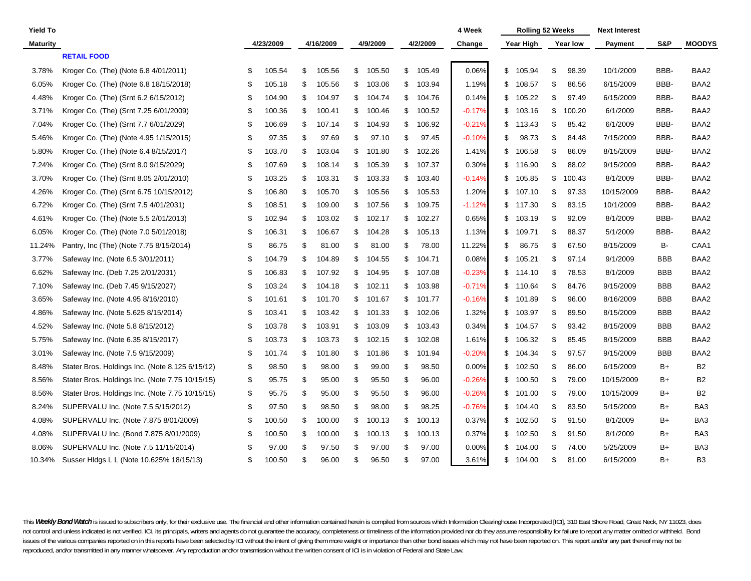| <b>Yield To</b> |                                                 |    |           |     |           |     |          |              | 4 Week   |    | <b>Rolling 52 Weeks</b> |                 | <b>Next Interest</b> |            |                |
|-----------------|-------------------------------------------------|----|-----------|-----|-----------|-----|----------|--------------|----------|----|-------------------------|-----------------|----------------------|------------|----------------|
| <b>Maturity</b> |                                                 |    | 4/23/2009 |     | 4/16/2009 |     | 4/9/2009 | 4/2/2009     | Change   |    | Year High               | <b>Year low</b> | Payment              | S&P        | <b>MOODYS</b>  |
|                 | <b>RETAIL FOOD</b>                              |    |           |     |           |     |          |              |          |    |                         |                 |                      |            |                |
| 3.78%           | Kroger Co. (The) (Note 6.8 4/01/2011)           | S  | 105.54    | \$  | 105.56    | \$  | 105.50   | \$<br>105.49 | 0.06%    | \$ | 105.94                  | \$<br>98.39     | 10/1/2009            | BBB-       | BAA2           |
| 6.05%           | Kroger Co. (The) (Note 6.8 18/15/2018)          | \$ | 105.18    | \$  | 105.56    | \$  | 103.06   | \$<br>103.94 | 1.19%    | \$ | 108.57                  | \$<br>86.56     | 6/15/2009            | BBB-       | BAA2           |
| 4.48%           | Kroger Co. (The) (Srnt 6.2 6/15/2012)           | \$ | 104.90    | \$  | 104.97    | \$  | 104.74   | \$<br>104.76 | 0.14%    | \$ | 105.22                  | \$<br>97.49     | 6/15/2009            | BBB-       | BAA2           |
| 3.71%           | Kroger Co. (The) (Srnt 7.25 6/01/2009)          | S  | 100.36    | \$  | 100.41    | S   | 100.46   | \$<br>100.52 | $-0.17%$ | \$ | 103.16                  | \$<br>100.20    | 6/1/2009             | BBB-       | BAA2           |
| 7.04%           | Kroger Co. (The) (Srnt 7.7 6/01/2029)           | S  | 106.69    | \$  | 107.14    | \$  | 104.93   | \$<br>106.92 | $-0.21%$ | S  | 113.43                  | \$<br>85.42     | 6/1/2009             | BBB-       | BAA2           |
| 5.46%           | Kroger Co. (The) (Note 4.95 1/15/2015)          | S  | 97.35     | \$  | 97.69     | \$  | 97.10    | \$<br>97.45  | $-0.10%$ | \$ | 98.73                   | \$<br>84.48     | 7/15/2009            | BBB-       | BAA2           |
| 5.80%           | Kroger Co. (The) (Note 6.4 8/15/2017)           | \$ | 103.70    | \$  | 103.04    | \$  | 101.80   | \$<br>102.26 | 1.41%    | \$ | 106.58                  | \$<br>86.09     | 8/15/2009            | BBB-       | BAA2           |
| 7.24%           | Kroger Co. (The) (Srnt 8.0 9/15/2029)           | \$ | 107.69    | \$  | 108.14    | \$  | 105.39   | \$<br>107.37 | 0.30%    | \$ | 116.90                  | \$<br>88.02     | 9/15/2009            | BBB-       | BAA2           |
| 3.70%           | Kroger Co. (The) (Srnt 8.05 2/01/2010)          | \$ | 103.25    | \$  | 103.31    | \$  | 103.33   | \$<br>103.40 | $-0.14%$ | \$ | 105.85                  | \$<br>100.43    | 8/1/2009             | BBB-       | BAA2           |
| 4.26%           | Kroger Co. (The) (Srnt 6.75 10/15/2012)         | \$ | 106.80    | \$  | 105.70    | \$  | 105.56   | \$<br>105.53 | 1.20%    | \$ | 107.10                  | \$<br>97.33     | 10/15/2009           | BBB-       | BAA2           |
| 6.72%           | Kroger Co. (The) (Srnt 7.5 4/01/2031)           | \$ | 108.51    | \$  | 109.00    | \$  | 107.56   | \$<br>109.75 | $-1.12%$ | \$ | 117.30                  | \$<br>83.15     | 10/1/2009            | BBB-       | BAA2           |
| 4.61%           | Kroger Co. (The) (Note 5.5 2/01/2013)           | S  | 102.94    | \$  | 103.02    | \$  | 102.17   | \$<br>102.27 | 0.65%    | S  | 103.19                  | \$<br>92.09     | 8/1/2009             | BBB-       | BAA2           |
| 6.05%           | Kroger Co. (The) (Note 7.0 5/01/2018)           | S  | 106.31    | \$  | 106.67    | \$  | 104.28   | \$<br>105.13 | 1.13%    | \$ | 109.71                  | \$<br>88.37     | 5/1/2009             | BBB-       | BAA2           |
| 11.24%          | Pantry, Inc (The) (Note 7.75 8/15/2014)         | \$ | 86.75     | \$  | 81.00     | \$  | 81.00    | \$<br>78.00  | 11.22%   | \$ | 86.75                   | \$<br>67.50     | 8/15/2009            | B-         | CAA1           |
| 3.77%           | Safeway Inc. (Note 6.5 3/01/2011)               | \$ | 104.79    | \$  | 104.89    | \$  | 104.55   | \$<br>104.71 | 0.08%    | \$ | 105.21                  | \$<br>97.14     | 9/1/2009             | <b>BBB</b> | BAA2           |
| 6.62%           | Safeway Inc. (Deb 7.25 2/01/2031)               | \$ | 106.83    | \$  | 107.92    | \$  | 104.95   | \$<br>107.08 | $-0.23%$ | \$ | 114.10                  | \$<br>78.53     | 8/1/2009             | <b>BBB</b> | BAA2           |
| 7.10%           | Safeway Inc. (Deb 7.45 9/15/2027)               | \$ | 103.24    | \$  | 104.18    | \$  | 102.11   | \$<br>103.98 | $-0.71%$ | \$ | 110.64                  | \$<br>84.76     | 9/15/2009            | <b>BBB</b> | BAA2           |
| 3.65%           | Safeway Inc. (Note 4.95 8/16/2010)              | \$ | 101.61    | \$  | 101.70    | \$  | 101.67   | \$<br>101.77 | $-0.16%$ | \$ | 101.89                  | \$<br>96.00     | 8/16/2009            | <b>BBB</b> | BAA2           |
| 4.86%           | Safeway Inc. (Note 5.625 8/15/2014)             | S  | 103.41    | \$  | 103.42    | \$  | 101.33   | \$<br>102.06 | 1.32%    | \$ | 103.97                  | \$<br>89.50     | 8/15/2009            | <b>BBB</b> | BAA2           |
| 4.52%           | Safeway Inc. (Note 5.8 8/15/2012)               | S  | 103.78    | \$  | 103.91    | \$  | 103.09   | \$<br>103.43 | 0.34%    | \$ | 104.57                  | \$<br>93.42     | 8/15/2009            | BBB        | BAA2           |
| 5.75%           | Safeway Inc. (Note 6.35 8/15/2017)              | S  | 103.73    | \$  | 103.73    | \$  | 102.15   | \$<br>102.08 | 1.61%    | \$ | 106.32                  | \$<br>85.45     | 8/15/2009            | <b>BBB</b> | BAA2           |
| 3.01%           | Safeway Inc. (Note 7.5 9/15/2009)               | \$ | 101.74    | \$  | 101.80    | \$  | 101.86   | \$<br>101.94 | $-0.20%$ | S  | 104.34                  | \$<br>97.57     | 9/15/2009            | <b>BBB</b> | BAA2           |
| 8.48%           | Stater Bros. Holdings Inc. (Note 8.125 6/15/12) | \$ | 98.50     | \$  | 98.00     | \$  | 99.00    | \$<br>98.50  | 0.00%    | \$ | 102.50                  | \$<br>86.00     | 6/15/2009            | B+         | <b>B2</b>      |
| 8.56%           | Stater Bros. Holdings Inc. (Note 7.75 10/15/15) | \$ | 95.75     | \$  | 95.00     | \$  | 95.50    | \$<br>96.00  | $-0.26%$ | \$ | 100.50                  | \$<br>79.00     | 10/15/2009           | B+         | B2             |
| 8.56%           | Stater Bros. Holdings Inc. (Note 7.75 10/15/15) | \$ | 95.75     | \$  | 95.00     | \$  | 95.50    | \$<br>96.00  | $-0.26%$ | \$ | 101.00                  | \$<br>79.00     | 10/15/2009           | B+         | <b>B2</b>      |
| 8.24%           | SUPERVALU Inc. (Note 7.5 5/15/2012)             | \$ | 97.50     | \$  | 98.50     | \$  | 98.00    | \$<br>98.25  | $-0.76%$ | \$ | 104.40                  | \$<br>83.50     | 5/15/2009            | B+         | BA3            |
| 4.08%           | SUPERVALU Inc. (Note 7.875 8/01/2009)           | \$ | 100.50    | \$  | 100.00    | \$  | 100.13   | \$<br>100.13 | 0.37%    | \$ | 102.50                  | \$<br>91.50     | 8/1/2009             | B+         | BA3            |
| 4.08%           | SUPERVALU Inc. (Bond 7.875 8/01/2009)           | \$ | 100.50    | \$  | 100.00    | \$  | 100.13   | \$<br>100.13 | 0.37%    | \$ | 102.50                  | \$<br>91.50     | 8/1/2009             | B+         | BA3            |
| 8.06%           | SUPERVALU Inc. (Note 7.5 11/15/2014)            | \$ | 97.00     | \$  | 97.50     | \$  | 97.00    | \$<br>97.00  | 0.00%    | \$ | 104.00                  | \$<br>74.00     | 5/25/2009            | B+         | BA3            |
| 10.34%          | Susser Hidgs L L (Note 10.625% 18/15/13)        | \$ | 100.50    | \$. | 96.00     | \$. | 96.50    | \$<br>97.00  | 3.61%    | \$ | 104.00                  | \$<br>81.00     | 6/15/2009            | B+         | B <sub>3</sub> |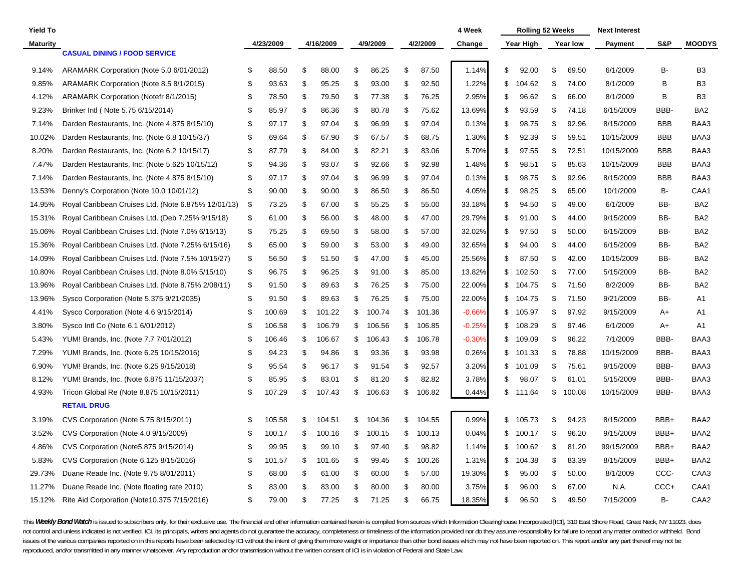| <b>Yield To</b> |                                                     |    |           |              |    |          |              | 4 Week   | <b>Rolling 52 Weeks</b> |                 | <b>Next Interest</b> |            |                  |
|-----------------|-----------------------------------------------------|----|-----------|--------------|----|----------|--------------|----------|-------------------------|-----------------|----------------------|------------|------------------|
| <b>Maturity</b> |                                                     |    | 4/23/2009 | 4/16/2009    |    | 4/9/2009 | 4/2/2009     | Change   | Year High               | <b>Year low</b> | Payment              | S&P        | <b>MOODYS</b>    |
|                 | <b>CASUAL DINING / FOOD SERVICE</b>                 |    |           |              |    |          |              |          |                         |                 |                      |            |                  |
| 9.14%           | ARAMARK Corporation (Note 5.0 6/01/2012)            | \$ | 88.50     | \$<br>88.00  | \$ | 86.25    | \$<br>87.50  | 1.14%    | \$<br>92.00             | \$<br>69.50     | 6/1/2009             | В-         | B <sub>3</sub>   |
| 9.85%           | ARAMARK Corporation (Note 8.5 8/1/2015)             | \$ | 93.63     | \$<br>95.25  | \$ | 93.00    | \$<br>92.50  | 1.22%    | \$<br>104.62            | \$<br>74.00     | 8/1/2009             | В          | B <sub>3</sub>   |
| 4.12%           | ARAMARK Corporation (Notefr 8/1/2015)               | \$ | 78.50     | \$<br>79.50  | \$ | 77.38    | \$<br>76.25  | 2.95%    | \$<br>96.62             | \$<br>66.00     | 8/1/2009             | B          | B <sub>3</sub>   |
| 9.23%           | Brinker Intl (Note 5.75 6/15/2014)                  | \$ | 85.97     | \$<br>86.36  | \$ | 80.78    | \$<br>75.62  | 13.69%   | \$<br>93.59             | \$<br>74.18     | 6/15/2009            | BBB-       | BA <sub>2</sub>  |
| 7.14%           | Darden Restaurants, Inc. (Note 4.875 8/15/10)       | \$ | 97.17     | \$<br>97.04  | £  | 96.99    | \$<br>97.04  | 0.13%    | \$<br>98.75             | \$<br>92.96     | 8/15/2009            | <b>BBB</b> | BAA3             |
| 10.02%          | Darden Restaurants, Inc. (Note 6.8 10/15/37)        | \$ | 69.64     | \$<br>67.90  | \$ | 67.57    | \$<br>68.75  | 1.30%    | \$<br>92.39             | \$<br>59.51     | 10/15/2009           | <b>BBB</b> | BAA3             |
| 8.20%           | Darden Restaurants, Inc. (Note 6.2 10/15/17)        | \$ | 87.79     | \$<br>84.00  | \$ | 82.21    | \$<br>83.06  | 5.70%    | \$<br>97.55             | \$<br>72.51     | 10/15/2009           | <b>BBB</b> | BAA3             |
| 7.47%           | Darden Restaurants, Inc. (Note 5.625 10/15/12)      | \$ | 94.36     | \$<br>93.07  | S  | 92.66    | \$<br>92.98  | 1.48%    | \$<br>98.51             | \$<br>85.63     | 10/15/2009           | <b>BBB</b> | BAA3             |
| 7.14%           | Darden Restaurants, Inc. (Note 4.875 8/15/10)       | \$ | 97.17     | \$<br>97.04  | \$ | 96.99    | \$<br>97.04  | 0.13%    | \$<br>98.75             | \$<br>92.96     | 8/15/2009            | <b>BBB</b> | BAA3             |
| 13.53%          | Denny's Corporation (Note 10.0 10/01/12)            | \$ | 90.00     | \$<br>90.00  | \$ | 86.50    | \$<br>86.50  | 4.05%    | \$<br>98.25             | \$<br>65.00     | 10/1/2009            | B-         | CAA1             |
| 14.95%          | Royal Caribbean Cruises Ltd. (Note 6.875% 12/01/13) | \$ | 73.25     | \$<br>67.00  | \$ | 55.25    | \$<br>55.00  | 33.18%   | \$<br>94.50             | \$<br>49.00     | 6/1/2009             | BB-        | BA <sub>2</sub>  |
| 15.31%          | Royal Caribbean Cruises Ltd. (Deb 7.25% 9/15/18)    | \$ | 61.00     | \$<br>56.00  | \$ | 48.00    | \$<br>47.00  | 29.79%   | \$<br>91.00             | \$<br>44.00     | 9/15/2009            | BB-        | BA <sub>2</sub>  |
| 15.06%          | Royal Caribbean Cruises Ltd. (Note 7.0% 6/15/13)    | \$ | 75.25     | \$<br>69.50  | \$ | 58.00    | \$<br>57.00  | 32.02%   | \$<br>97.50             | \$<br>50.00     | 6/15/2009            | BB-        | BA <sub>2</sub>  |
| 15.36%          | Royal Caribbean Cruises Ltd. (Note 7.25% 6/15/16)   | \$ | 65.00     | \$<br>59.00  | \$ | 53.00    | \$<br>49.00  | 32.65%   | \$<br>94.00             | \$<br>44.00     | 6/15/2009            | BB-        | BA <sub>2</sub>  |
| 14.09%          | Royal Caribbean Cruises Ltd. (Note 7.5% 10/15/27)   | \$ | 56.50     | \$<br>51.50  | S  | 47.00    | \$<br>45.00  | 25.56%   | \$<br>87.50             | \$<br>42.00     | 10/15/2009           | BB-        | BA <sub>2</sub>  |
| 10.80%          | Royal Caribbean Cruises Ltd. (Note 8.0% 5/15/10)    | \$ | 96.75     | \$<br>96.25  | £  | 91.00    | \$<br>85.00  | 13.82%   | \$<br>102.50            | \$<br>77.00     | 5/15/2009            | BB-        | BA <sub>2</sub>  |
| 13.96%          | Royal Caribbean Cruises Ltd. (Note 8.75% 2/08/11)   | \$ | 91.50     | \$<br>89.63  | \$ | 76.25    | \$<br>75.00  | 22.00%   | \$<br>104.75            | \$<br>71.50     | 8/2/2009             | BB-        | BA <sub>2</sub>  |
| 13.96%          | Sysco Corporation (Note 5.375 9/21/2035)            | \$ | 91.50     | \$<br>89.63  | \$ | 76.25    | \$<br>75.00  | 22.00%   | \$<br>104.75            | \$<br>71.50     | 9/21/2009            | BB-        | A <sub>1</sub>   |
| 4.41%           | Sysco Corporation (Note 4.6 9/15/2014)              | \$ | 100.69    | \$<br>101.22 | \$ | 100.74   | \$<br>101.36 | $-0.66%$ | \$<br>105.97            | \$<br>97.92     | 9/15/2009            | A+         | A1               |
| 3.80%           | Sysco Intl Co (Note 6.1 6/01/2012)                  | S  | 106.58    | \$<br>106.79 | \$ | 106.56   | \$<br>106.85 | $-0.25%$ | \$<br>108.29            | \$<br>97.46     | 6/1/2009             | A+         | A1               |
| 5.43%           | YUM! Brands, Inc. (Note 7.7 7/01/2012)              | \$ | 106.46    | \$<br>106.67 | \$ | 106.43   | \$<br>106.78 | $-0.30%$ | \$<br>109.09            | \$<br>96.22     | 7/1/2009             | BBB-       | BAA3             |
| 7.29%           | YUM! Brands, Inc. (Note 6.25 10/15/2016)            | \$ | 94.23     | \$<br>94.86  | \$ | 93.36    | \$<br>93.98  | 0.26%    | \$<br>101.33            | \$<br>78.88     | 10/15/2009           | BBB-       | BAA3             |
| 6.90%           | YUM! Brands, Inc. (Note 6.25 9/15/2018)             | \$ | 95.54     | \$<br>96.17  | \$ | 91.54    | \$<br>92.57  | 3.20%    | \$<br>101.09            | \$<br>75.61     | 9/15/2009            | BBB-       | BAA3             |
| 8.12%           | YUM! Brands, Inc. (Note 6.875 11/15/2037)           | \$ | 85.95     | \$<br>83.01  | S  | 81.20    | \$<br>82.82  | 3.78%    | \$<br>98.07             | \$<br>61.01     | 5/15/2009            | BBB-       | BAA3             |
| 4.93%           | Tricon Global Re (Note 8.875 10/15/2011)            | \$ | 107.29    | \$<br>107.43 | \$ | 106.63   | \$<br>106.82 | 0.44%    | \$<br>111.64            | \$<br>100.08    | 10/15/2009           | BBB-       | BAA3             |
|                 | <b>RETAIL DRUG</b>                                  |    |           |              |    |          |              |          |                         |                 |                      |            |                  |
| 3.19%           | CVS Corporation (Note 5.75 8/15/2011)               | S  | 105.58    | \$<br>104.51 | \$ | 104.36   | \$<br>104.55 | 0.99%    | \$105.73                | \$<br>94.23     | 8/15/2009            | BBB+       | BAA2             |
| 3.52%           | CVS Corporation (Note 4.0 9/15/2009)                | \$ | 100.17    | \$<br>100.16 | \$ | 100.15   | \$<br>100.13 | 0.04%    | \$<br>100.17            | \$<br>96.20     | 9/15/2009            | BBB+       | BAA2             |
| 4.86%           | CVS Corporation (Note 5.875 9/15/2014)              | \$ | 99.95     | \$<br>99.10  | \$ | 97.40    | \$<br>98.82  | 1.14%    | \$<br>100.62            | \$<br>81.20     | 99/15/2009           | BBB+       | BAA2             |
| 5.83%           | CVS Corporation (Note 6.125 8/15/2016)              | \$ | 101.57    | \$<br>101.65 | \$ | 99.45    | \$<br>100.26 | 1.31%    | \$<br>104.38            | \$<br>83.39     | 8/15/2009            | BBB+       | BAA2             |
| 29.73%          | Duane Reade Inc. (Note 9.75 8/01/2011)              | \$ | 68.00     | \$<br>61.00  | \$ | 60.00    | \$<br>57.00  | 19.30%   | \$<br>95.00             | \$<br>50.00     | 8/1/2009             | CCC-       | CAA3             |
| 11.27%          | Duane Reade Inc. (Note floating rate 2010)          | \$ | 83.00     | \$<br>83.00  | \$ | 80.00    | \$<br>80.00  | 3.75%    | \$<br>96.00             | \$<br>67.00     | N.A.                 | CCC+       | CAA1             |
| 15.12%          | Rite Aid Corporation (Note 10.375 7/15/2016)        | \$ | 79.00     | \$<br>77.25  | \$ | 71.25    | \$<br>66.75  | 18.35%   | \$<br>96.50             | \$<br>49.50     | 7/15/2009            | B-         | CAA <sub>2</sub> |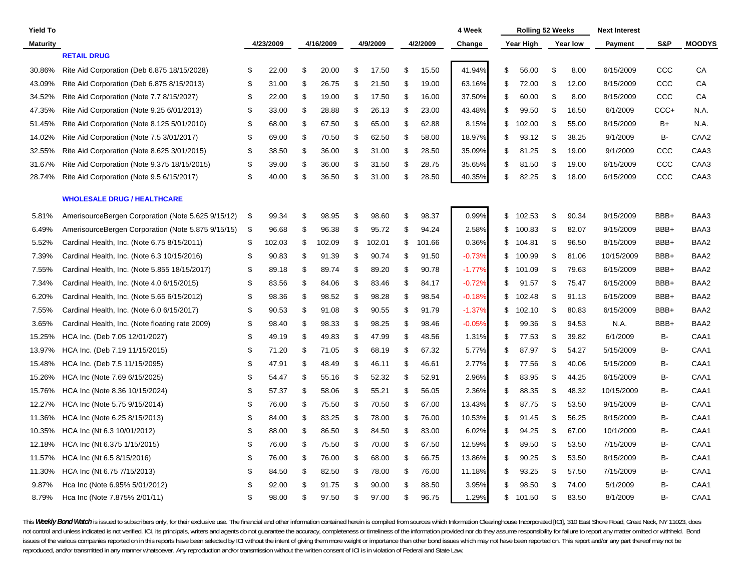| Yield To        |                                                    |    |           |     |           |     |          |              | 4 Week   | <b>Rolling 52 Weeks</b> |             | <b>Next Interest</b> |       |                  |
|-----------------|----------------------------------------------------|----|-----------|-----|-----------|-----|----------|--------------|----------|-------------------------|-------------|----------------------|-------|------------------|
| <b>Maturity</b> |                                                    |    | 4/23/2009 |     | 4/16/2009 |     | 4/9/2009 | 4/2/2009     | Change   | Year High               | Year low    | <b>Payment</b>       | S&P   | <b>MOODYS</b>    |
|                 | <b>RETAIL DRUG</b>                                 |    |           |     |           |     |          |              |          |                         |             |                      |       |                  |
| 30.86%          | Rite Aid Corporation (Deb 6.875 18/15/2028)        | S  | 22.00     | \$  | 20.00     | \$  | 17.50    | \$<br>15.50  | 41.94%   | \$<br>56.00             | \$<br>8.00  | 6/15/2009            | CCC   | CA               |
| 43.09%          | Rite Aid Corporation (Deb 6.875 8/15/2013)         | \$ | 31.00     | \$  | 26.75     | \$  | 21.50    | \$<br>19.00  | 63.16%   | \$<br>72.00             | \$<br>12.00 | 8/15/2009            | CCC   | CA               |
| 34.52%          | Rite Aid Corporation (Note 7.7 8/15/2027)          | \$ | 22.00     | \$  | 19.00     | \$  | 17.50    | \$<br>16.00  | 37.50%   | \$<br>60.00             | \$<br>8.00  | 8/15/2009            | ccc   | CA               |
| 47.35%          | Rite Aid Corporation (Note 9.25 6/01/2013)         | \$ | 33.00     | \$  | 28.88     | \$  | 26.13    | \$<br>23.00  | 43.48%   | \$<br>99.50             | \$<br>16.50 | 6/1/2009             | CCC+  | N.A.             |
| 51.45%          | Rite Aid Corporation (Note 8.125 5/01/2010)        | \$ | 68.00     | \$  | 67.50     | S   | 65.00    | \$<br>62.88  | 8.15%    | \$<br>102.00            | \$<br>55.00 | 8/15/2009            | B+    | N.A.             |
| 14.02%          | Rite Aid Corporation (Note 7.5 3/01/2017)          | \$ | 69.00     | \$  | 70.50     | \$  | 62.50    | \$<br>58.00  | 18.97%   | \$<br>93.12             | \$<br>38.25 | 9/1/2009             | B-    | CAA <sub>2</sub> |
| 32.55%          | Rite Aid Corporation (Note 8.625 3/01/2015)        | \$ | 38.50     | \$  | 36.00     | \$  | 31.00    | \$<br>28.50  | 35.09%   | \$<br>81.25             | \$<br>19.00 | 9/1/2009             | CCC   | CAA3             |
| 31.67%          | Rite Aid Corporation (Note 9.375 18/15/2015)       | \$ | 39.00     | \$  | 36.00     | \$  | 31.50    | \$<br>28.75  | 35.65%   | \$<br>81.50             | \$<br>19.00 | 6/15/2009            | CCC   | CAA3             |
| 28.74%          | Rite Aid Corporation (Note 9.5 6/15/2017)          | \$ | 40.00     | \$. | 36.50     | \$  | 31.00    | \$<br>28.50  | 40.35%   | \$<br>82.25             | \$<br>18.00 | 6/15/2009            | CCC   | CAA3             |
|                 | <b>WHOLESALE DRUG / HEALTHCARE</b>                 |    |           |     |           |     |          |              |          |                         |             |                      |       |                  |
| 5.81%           | AmerisourceBergen Corporation (Note 5.625 9/15/12) | \$ | 99.34     | \$  | 98.95     | \$  | 98.60    | \$<br>98.37  | 0.99%    | \$<br>102.53            | \$<br>90.34 | 9/15/2009            | BBB+  | BAA3             |
| 6.49%           | AmerisourceBergen Corporation (Note 5.875 9/15/15) | \$ | 96.68     | \$  | 96.38     | \$  | 95.72    | \$<br>94.24  | 2.58%    | \$<br>100.83            | \$<br>82.07 | 9/15/2009            | BBB+  | BAA3             |
| 5.52%           | Cardinal Health, Inc. (Note 6.75 8/15/2011)        | \$ | 102.03    | \$  | 102.09    | \$  | 102.01   | \$<br>101.66 | 0.36%    | \$<br>104.81            | \$<br>96.50 | 8/15/2009            | BBB+  | BAA2             |
| 7.39%           | Cardinal Health, Inc. (Note 6.3 10/15/2016)        | \$ | 90.83     | \$  | 91.39     | S   | 90.74    | \$<br>91.50  | $-0.73%$ | \$<br>100.99            | \$<br>81.06 | 10/15/2009           | BBB+  | BAA2             |
| 7.55%           | Cardinal Health, Inc. (Note 5.855 18/15/2017)      | \$ | 89.18     | \$  | 89.74     | \$  | 89.20    | \$<br>90.78  | $-1.77%$ | \$<br>101.09            | \$<br>79.63 | 6/15/2009            | BBB+  | BAA2             |
| 7.34%           | Cardinal Health, Inc. (Note 4.0 6/15/2015)         | \$ | 83.56     | \$  | 84.06     | \$  | 83.46    | \$<br>84.17  | $-0.72%$ | \$<br>91.57             | \$<br>75.47 | 6/15/2009            | BBB+  | BAA2             |
| 6.20%           | Cardinal Health, Inc. (Note 5.65 6/15/2012)        | \$ | 98.36     | \$  | 98.52     | \$  | 98.28    | \$<br>98.54  | $-0.18%$ | \$<br>102.48            | \$<br>91.13 | 6/15/2009            | BBB+  | BAA2             |
| 7.55%           | Cardinal Health, Inc. (Note 6.0 6/15/2017)         | \$ | 90.53     | \$  | 91.08     | \$  | 90.55    | \$<br>91.79  | $-1.37%$ | \$<br>102.10            | \$<br>80.83 | 6/15/2009            | BBB+  | BAA2             |
| 3.65%           | Cardinal Health, Inc. (Note floating rate 2009)    | \$ | 98.40     | \$  | 98.33     | \$  | 98.25    | \$<br>98.46  | $-0.05%$ | \$<br>99.36             | \$<br>94.53 | N.A.                 | BBB+  | BAA2             |
| 15.25%          | HCA Inc. (Deb 7.05 12/01/2027)                     | \$ | 49.19     | \$  | 49.83     | \$  | 47.99    | \$<br>48.56  | 1.31%    | \$<br>77.53             | \$<br>39.82 | 6/1/2009             | В-    | CAA1             |
| 13.97%          | HCA Inc. (Deb 7.19 11/15/2015)                     | \$ | 71.20     | \$  | 71.05     | \$  | 68.19    | \$<br>67.32  | 5.77%    | \$<br>87.97             | \$<br>54.27 | 5/15/2009            | B-    | CAA1             |
| 15.48%          | HCA Inc. (Deb 7.5 11/15/2095)                      | \$ | 47.91     | \$  | 48.49     | \$  | 46.11    | \$<br>46.61  | 2.77%    | \$<br>77.56             | \$<br>40.06 | 5/15/2009            | B-    | CAA1             |
| 15.26%          | HCA Inc (Note 7.69 6/15/2025)                      | \$ | 54.47     | \$  | 55.16     | \$. | 52.32    | \$<br>52.91  | 2.96%    | \$<br>83.95             | \$<br>44.25 | 6/15/2009            | B-    | CAA1             |
| 15.76%          | HCA Inc (Note 8.36 10/15/2024)                     | \$ | 57.37     | \$  | 58.06     | \$  | 55.21    | \$<br>56.05  | 2.36%    | \$<br>88.35             | \$<br>48.32 | 10/15/2009           | В-    | CAA1             |
| 12.27%          | HCA Inc (Note 5.75 9/15/2014)                      | \$ | 76.00     | \$  | 75.50     | \$  | 70.50    | \$<br>67.00  | 13.43%   | \$<br>87.75             | \$<br>53.50 | 9/15/2009            | B-    | CAA1             |
| 11.36%          | HCA Inc (Note 6.25 8/15/2013)                      | \$ | 84.00     | \$  | 83.25     | \$  | 78.00    | \$<br>76.00  | 10.53%   | \$<br>91.45             | \$<br>56.25 | 8/15/2009            | B-    | CAA1             |
| 10.35%          | HCA Inc (Nt 6.3 10/01/2012)                        | \$ | 88.00     | \$  | 86.50     | \$  | 84.50    | \$<br>83.00  | 6.02%    | \$<br>94.25             | \$<br>67.00 | 10/1/2009            | B-    | CAA1             |
| 12.18%          | HCA Inc (Nt 6.375 1/15/2015)                       | \$ | 76.00     | \$  | 75.50     | \$  | 70.00    | \$<br>67.50  | 12.59%   | \$<br>89.50             | \$<br>53.50 | 7/15/2009            | в-    | CAA1             |
| 11.57%          | HCA Inc (Nt 6.5 8/15/2016)                         | \$ | 76.00     | \$  | 76.00     | \$  | 68.00    | \$<br>66.75  | 13.86%   | \$<br>90.25             | \$<br>53.50 | 8/15/2009            | B-    | CAA1             |
| 11.30%          | HCA Inc (Nt 6.75 7/15/2013)                        | \$ | 84.50     | \$  | 82.50     | \$  | 78.00    | \$<br>76.00  | 11.18%   | \$<br>93.25             | \$<br>57.50 | 7/15/2009            | B-    | CAA1             |
| 9.87%           | Hca Inc (Note 6.95% 5/01/2012)                     | \$ | 92.00     | \$  | 91.75     | S   | 90.00    | \$<br>88.50  | 3.95%    | \$<br>98.50             | \$<br>74.00 | 5/1/2009             | B-    | CAA1             |
| 8.79%           | Hca Inc (Note 7.875% 2/01/11)                      | \$ | 98.00     | \$. | 97.50     | \$  | 97.00    | \$<br>96.75  | 1.29%    | \$<br>101.50            | \$<br>83.50 | 8/1/2009             | $B -$ | CAA1             |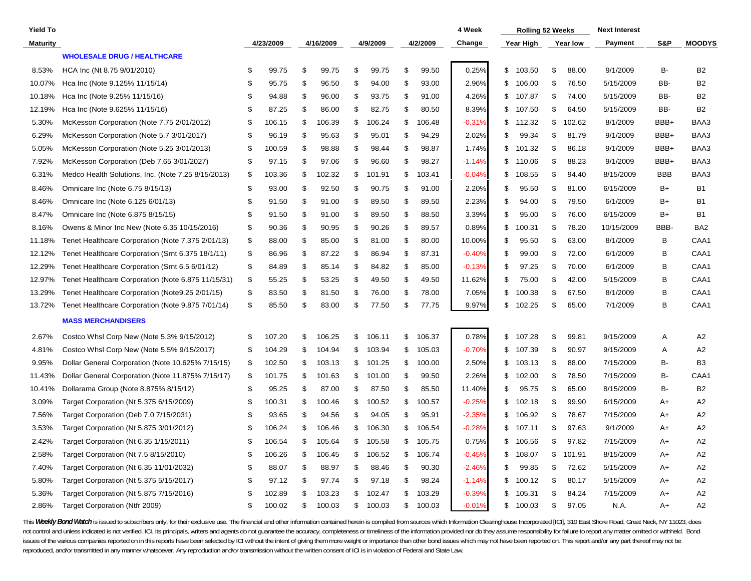| <b>Yield To</b> |                                                    |    |           |    |           |    |          |              | 4 Week   | Rolling 52 Weeks |              | <b>Next Interest</b> |            |                 |
|-----------------|----------------------------------------------------|----|-----------|----|-----------|----|----------|--------------|----------|------------------|--------------|----------------------|------------|-----------------|
| <b>Maturity</b> |                                                    |    | 4/23/2009 |    | 4/16/2009 |    | 4/9/2009 | 4/2/2009     | Change   | Year High        | Year low     | Payment              | S&P        | <b>MOODYS</b>   |
|                 | <b>WHOLESALE DRUG / HEALTHCARE</b>                 |    |           |    |           |    |          |              |          |                  |              |                      |            |                 |
| 8.53%           | HCA Inc (Nt 8.75 9/01/2010)                        | S  | 99.75     | S. | 99.75     | \$ | 99.75    | \$<br>99.50  | 0.25%    | \$<br>103.50     | \$<br>88.00  | 9/1/2009             | <b>B-</b>  | <b>B2</b>       |
| 10.07%          | Hca Inc (Note 9.125% 11/15/14)                     | \$ | 95.75     | \$ | 96.50     | \$ | 94.00    | \$<br>93.00  | 2.96%    | \$<br>106.00     | \$<br>76.50  | 5/15/2009            | BB-        | <b>B2</b>       |
| 10.18%          | Hca Inc (Note 9.25% 11/15/16)                      | S  | 94.88     | \$ | 96.00     | \$ | 93.75    | \$<br>91.00  | 4.26%    | \$<br>107.87     | \$<br>74.00  | 5/15/2009            | BB-        | <b>B2</b>       |
| 12.19%          | Hca Inc (Note 9.625% 11/15/16)                     | \$ | 87.25     | \$ | 86.00     | \$ | 82.75    | \$<br>80.50  | 8.39%    | \$<br>107.50     | \$<br>64.50  | 5/15/2009            | BB-        | <b>B2</b>       |
| 5.30%           | McKesson Corporation (Note 7.75 2/01/2012)         | \$ | 106.15    | \$ | 106.39    | \$ | 106.24   | \$<br>106.48 | $-0.31%$ | \$<br>112.32     | \$<br>102.62 | 8/1/2009             | BBB+       | BAA3            |
| 6.29%           | McKesson Corporation (Note 5.7 3/01/2017)          | \$ | 96.19     | \$ | 95.63     | \$ | 95.01    | \$<br>94.29  | 2.02%    | \$<br>99.34      | \$<br>81.79  | 9/1/2009             | BBB+       | BAA3            |
| 5.05%           | McKesson Corporation (Note 5.25 3/01/2013)         | \$ | 100.59    | \$ | 98.88     | \$ | 98.44    | \$<br>98.87  | 1.74%    | \$<br>101.32     | \$<br>86.18  | 9/1/2009             | BBB+       | BAA3            |
| 7.92%           | McKesson Corporation (Deb 7.65 3/01/2027)          | \$ | 97.15     | \$ | 97.06     | \$ | 96.60    | \$<br>98.27  | $-1.14%$ | \$<br>110.06     | \$<br>88.23  | 9/1/2009             | BBB+       | BAA3            |
| 6.31%           | Medco Health Solutions, Inc. (Note 7.25 8/15/2013) | \$ | 103.36    | \$ | 102.32    | \$ | 101.91   | \$<br>103.41 | $-0.04%$ | \$<br>108.55     | \$<br>94.40  | 8/15/2009            | <b>BBB</b> | BAA3            |
| 8.46%           | Omnicare Inc (Note 6.75 8/15/13)                   | \$ | 93.00     | \$ | 92.50     | £  | 90.75    | \$<br>91.00  | 2.20%    | \$<br>95.50      | \$<br>81.00  | 6/15/2009            | B+         | <b>B1</b>       |
| 8.46%           | Omnicare Inc (Note 6.125 6/01/13)                  | \$ | 91.50     | \$ | 91.00     | \$ | 89.50    | \$<br>89.50  | 2.23%    | \$<br>94.00      | \$<br>79.50  | 6/1/2009             | $B+$       | <b>B1</b>       |
| 8.47%           | Omnicare Inc (Note 6.875 8/15/15)                  | \$ | 91.50     | \$ | 91.00     | £  | 89.50    | \$<br>88.50  | 3.39%    | \$<br>95.00      | \$<br>76.00  | 6/15/2009            | B+         | B1              |
| 8.16%           | Owens & Minor Inc New (Note 6.35 10/15/2016)       | \$ | 90.36     | \$ | 90.95     | \$ | 90.26    | \$<br>89.57  | 0.89%    | \$<br>100.31     | \$<br>78.20  | 10/15/2009           | BBB-       | BA <sub>2</sub> |
| 11.18%          | Tenet Healthcare Corporation (Note 7.375 2/01/13)  | \$ | 88.00     | \$ | 85.00     | £  | 81.00    | \$<br>80.00  | 10.00%   | \$<br>95.50      | \$<br>63.00  | 8/1/2009             | В          | CAA1            |
| 12.12%          | Tenet Healthcare Corporation (Srnt 6.375 18/1/11)  | \$ | 86.96     | \$ | 87.22     | \$ | 86.94    | \$<br>87.31  | $-0.40%$ | \$<br>99.00      | \$<br>72.00  | 6/1/2009             | В          | CAA1            |
| 12.29%          | Tenet Healthcare Corporation (Srnt 6.5 6/01/12)    | \$ | 84.89     | \$ | 85.14     | \$ | 84.82    | \$<br>85.00  | $-0.13%$ | \$<br>97.25      | \$<br>70.00  | 6/1/2009             | В          | CAA1            |
| 12.97%          | Tenet Healthcare Corporation (Note 6.875 11/15/31) | \$ | 55.25     | \$ | 53.25     | \$ | 49.50    | \$<br>49.50  | 11.62%   | \$<br>75.00      | \$<br>42.00  | 5/15/2009            | B          | CAA1            |
| 13.29%          | Tenet Healthcare Corporation (Note 9.25 2/01/15)   | \$ | 83.50     | \$ | 81.50     | S  | 76.00    | \$<br>78.00  | 7.05%    | \$<br>100.38     | \$<br>67.50  | 8/1/2009             | B          | CAA1            |
| 13.72%          | Tenet Healthcare Corporation (Note 9.875 7/01/14)  | \$ | 85.50     | \$ | 83.00     | \$ | 77.50    | \$<br>77.75  | 9.97%    | \$<br>102.25     | \$<br>65.00  | 7/1/2009             | B          | CAA1            |
|                 | <b>MASS MERCHANDISERS</b>                          |    |           |    |           |    |          |              |          |                  |              |                      |            |                 |
| 2.67%           | Costco Whsl Corp New (Note 5.3% 9/15/2012)         | \$ | 107.20    | \$ | 106.25    | \$ | 106.11   | \$<br>106.37 | 0.78%    | \$<br>107.28     | \$<br>99.81  | 9/15/2009            | Α          | A2              |
| 4.81%           | Costco Whsl Corp New (Note 5.5% 9/15/2017)         | \$ | 104.29    | \$ | 104.94    | \$ | 103.94   | \$<br>105.03 | $-0.70%$ | \$<br>107.39     | \$<br>90.97  | 9/15/2009            | A          | A <sub>2</sub>  |
| 9.95%           | Dollar General Corporation (Note 10.625% 7/15/15)  | \$ | 102.50    | \$ | 103.13    | \$ | 101.25   | \$<br>100.00 | 2.50%    | \$<br>103.13     | \$<br>88.00  | 7/15/2009            | B-         | B <sub>3</sub>  |
| 11.43%          | Dollar General Corporation (Note 11.875% 7/15/17)  | \$ | 101.75    | \$ | 101.63    | \$ | 101.00   | \$<br>99.50  | 2.26%    | \$<br>102.00     | \$<br>78.50  | 7/15/2009            | B-         | CAA1            |
| 10.41%          | Dollarama Group (Note 8.875% 8/15/12)              | \$ | 95.25     | \$ | 87.00     | \$ | 87.50    | \$<br>85.50  | 11.40%   | \$<br>95.75      | \$<br>65.00  | 8/15/2009            | B-         | <b>B2</b>       |
| 3.09%           | Target Corporation (Nt 5.375 6/15/2009)            | \$ | 100.31    | \$ | 100.46    | \$ | 100.52   | \$<br>100.57 | $-0.25%$ | \$<br>102.18     | \$<br>99.90  | 6/15/2009            | A+         | A <sub>2</sub>  |
| 7.56%           | Target Corporation (Deb 7.0 7/15/2031)             | S  | 93.65     | \$ | 94.56     | \$ | 94.05    | \$<br>95.91  | $-2.35%$ | \$<br>106.92     | \$<br>78.67  | 7/15/2009            | A+         | A2              |
| 3.53%           | Target Corporation (Nt 5.875 3/01/2012)            | \$ | 106.24    | \$ | 106.46    | \$ | 106.30   | \$<br>106.54 | $-0.28%$ | \$<br>107.11     | \$<br>97.63  | 9/1/2009             | A+         | A <sub>2</sub>  |
| 2.42%           | Target Corporation (Nt 6.35 1/15/2011)             | \$ | 106.54    | \$ | 105.64    | \$ | 105.58   | \$<br>105.75 | 0.75%    | \$<br>106.56     | \$<br>97.82  | 7/15/2009            | A+         | A2              |
| 2.58%           | Target Corporation (Nt 7.5 8/15/2010)              | \$ | 106.26    | \$ | 106.45    | \$ | 106.52   | \$<br>106.74 | -0.45%   | \$<br>108.07     | \$<br>101.91 | 8/15/2009            | A+         | A <sub>2</sub>  |
| 7.40%           | Target Corporation (Nt 6.35 11/01/2032)            | \$ | 88.07     | \$ | 88.97     | £  | 88.46    | \$<br>90.30  | $-2.46%$ | \$<br>99.85      | \$<br>72.62  | 5/15/2009            | A+         | A2              |
| 5.80%           | Target Corporation (Nt 5.375 5/15/2017)            | \$ | 97.12     | \$ | 97.74     | \$ | 97.18    | \$<br>98.24  | $-1.14%$ | \$<br>100.12     | \$<br>80.17  | 5/15/2009            | A+         | A2              |
| 5.36%           | Target Corporation (Nt 5.875 7/15/2016)            | \$ | 102.89    | \$ | 103.23    | \$ | 102.47   | \$<br>103.29 | $-0.39%$ | \$<br>105.31     | \$<br>84.24  | 7/15/2009            | A+         | A2              |
| 2.86%           | Target Corporation (Ntfr 2009)                     | \$ | 100.02    | \$ | 100.03    | \$ | 100.03   | \$<br>100.03 | $-0.01%$ | \$<br>100.03     | \$<br>97.05  | N.A.                 | A+         | A2              |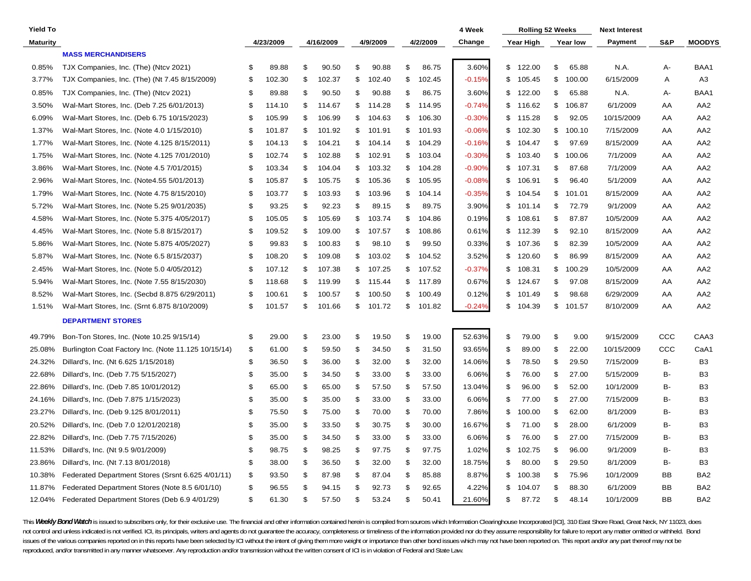| <b>Yield To</b> |                                                     |    |           |                |           |    |          |              | 4 Week    | <b>Rolling 52 Weeks</b> |                 | <b>Next Interest</b> |     |                 |
|-----------------|-----------------------------------------------------|----|-----------|----------------|-----------|----|----------|--------------|-----------|-------------------------|-----------------|----------------------|-----|-----------------|
| Maturity        |                                                     |    | 4/23/2009 |                | 4/16/2009 |    | 4/9/2009 | 4/2/2009     | Change    | Year High               | <b>Year low</b> | Payment              | S&P | <b>MOODYS</b>   |
|                 | <b>MASS MERCHANDISERS</b>                           |    |           |                |           |    |          |              |           |                         |                 |                      |     |                 |
| 0.85%           | TJX Companies, Inc. (The) (Ntcv 2021)               | £. | 89.88     | \$             | 90.50     | \$ | 90.88    | \$<br>86.75  | 3.60%     | \$<br>122.00            | \$<br>65.88     | N.A.                 | А-  | BAA1            |
| 3.77%           | TJX Companies, Inc. (The) (Nt 7.45 8/15/2009)       | \$ | 102.30    | \$             | 102.37    | \$ | 102.40   | \$<br>102.45 | $-0.15%$  | \$<br>105.45            | \$<br>100.00    | 6/15/2009            | Α   | A3              |
| 0.85%           | TJX Companies, Inc. (The) (Ntcv 2021)               | \$ | 89.88     | \$             | 90.50     | \$ | 90.88    | \$<br>86.75  | 3.60%     | \$<br>122.00            | \$<br>65.88     | N.A.                 | А-  | BAA1            |
| 3.50%           | Wal-Mart Stores, Inc. (Deb 7.25 6/01/2013)          | \$ | 114.10    | \$             | 114.67    | \$ | 114.28   | \$<br>114.95 | $-0.74%$  | \$<br>116.62            | \$<br>106.87    | 6/1/2009             | AA  | AA <sub>2</sub> |
| 6.09%           | Wal-Mart Stores, Inc. (Deb 6.75 10/15/2023)         | \$ | 105.99    | \$             | 106.99    | \$ | 104.63   | \$<br>106.30 | $-0.30\%$ | \$<br>115.28            | \$<br>92.05     | 10/15/2009           | AA  | AA <sub>2</sub> |
| 1.37%           | Wal-Mart Stores, Inc. (Note 4.0 1/15/2010)          | \$ | 101.87    | \$             | 101.92    | \$ | 101.91   | \$<br>101.93 | $-0.06\%$ | \$<br>102.30            | \$<br>100.10    | 7/15/2009            | AA  | AA <sub>2</sub> |
| 1.77%           | Wal-Mart Stores, Inc. (Note 4.125 8/15/2011)        | \$ | 104.13    | \$             | 104.21    | \$ | 104.14   | \$<br>104.29 | -0.16%    | \$<br>104.47            | \$<br>97.69     | 8/15/2009            | AA  | AA <sub>2</sub> |
| 1.75%           | Wal-Mart Stores, Inc. (Note 4.125 7/01/2010)        | \$ | 102.74    | \$             | 102.88    | \$ | 102.91   | \$<br>103.04 | $-0.30%$  | \$<br>103.40            | \$<br>100.06    | 7/1/2009             | AA  | AA <sub>2</sub> |
| 3.86%           | Wal-Mart Stores, Inc. (Note 4.5 7/01/2015)          | \$ | 103.34    | \$             | 104.04    | \$ | 103.32   | \$<br>104.28 | -0.90%    | \$<br>107.31            | \$<br>87.68     | 7/1/2009             | AA  | AA <sub>2</sub> |
| 2.96%           | Wal-Mart Stores, Inc. (Note4.55 5/01/2013)          | \$ | 105.87    | \$             | 105.75    | \$ | 105.36   | \$<br>105.95 | $-0.08%$  | \$<br>106.91            | \$<br>96.40     | 5/1/2009             | AA  | AA <sub>2</sub> |
| 1.79%           | Wal-Mart Stores, Inc. (Note 4.75 8/15/2010)         | \$ | 103.77    | \$             | 103.93    | \$ | 103.96   | \$<br>104.14 | $-0.35%$  | \$<br>104.54            | \$<br>101.01    | 8/15/2009            | AA  | AA <sub>2</sub> |
| 5.72%           | Wal-Mart Stores, Inc. (Note 5.25 9/01/2035)         | \$ | 93.25     | \$             | 92.23     | \$ | 89.15    | \$<br>89.75  | 3.90%     | \$<br>101.14            | \$<br>72.79     | 9/1/2009             | AA  | AA <sub>2</sub> |
| 4.58%           | Wal-Mart Stores, Inc. (Note 5.375 4/05/2017)        | \$ | 105.05    | \$             | 105.69    | \$ | 103.74   | \$<br>104.86 | 0.19%     | \$<br>108.61            | \$<br>87.87     | 10/5/2009            | AA  | AA <sub>2</sub> |
| 4.45%           | Wal-Mart Stores, Inc. (Note 5.8 8/15/2017)          | S  | 109.52    | \$             | 109.00    | \$ | 107.57   | \$<br>108.86 | 0.61%     | \$<br>112.39            | \$<br>92.10     | 8/15/2009            | AA  | AA <sub>2</sub> |
| 5.86%           | Wal-Mart Stores, Inc. (Note 5.875 4/05/2027)        | \$ | 99.83     | \$             | 100.83    | \$ | 98.10    | \$<br>99.50  | 0.33%     | \$<br>107.36            | \$<br>82.39     | 10/5/2009            | AA  | AA <sub>2</sub> |
| 5.87%           | Wal-Mart Stores, Inc. (Note 6.5 8/15/2037)          | \$ | 108.20    | \$             | 109.08    | \$ | 103.02   | \$<br>104.52 | 3.52%     | \$<br>120.60            | \$<br>86.99     | 8/15/2009            | AA  | AA <sub>2</sub> |
| 2.45%           | Wal-Mart Stores, Inc. (Note 5.0 4/05/2012)          | \$ | 107.12    | \$             | 107.38    | \$ | 107.25   | \$<br>107.52 | $-0.37%$  | \$<br>108.31            | \$<br>100.29    | 10/5/2009            | AA  | AA <sub>2</sub> |
| 5.94%           | Wal-Mart Stores, Inc. (Note 7.55 8/15/2030)         | \$ | 118.68    | \$             | 119.99    | \$ | 115.44   | \$<br>117.89 | 0.67%     | \$<br>124.67            | \$<br>97.08     | 8/15/2009            | AA  | AA <sub>2</sub> |
| 8.52%           | Wal-Mart Stores, Inc. (Secbd 8.875 6/29/2011)       | S  | 100.61    | \$             | 100.57    | \$ | 100.50   | \$<br>100.49 | 0.12%     | \$<br>101.49            | \$<br>98.68     | 6/29/2009            | AA  | AA <sub>2</sub> |
| 1.51%           | Wal-Mart Stores, Inc. (Srnt 6.875 8/10/2009)        | \$ | 101.57    | \$             | 101.66    | \$ | 101.72   | \$<br>101.82 | $-0.24%$  | \$<br>104.39            | \$<br>101.57    | 8/10/2009            | AA  | AA <sub>2</sub> |
|                 | <b>DEPARTMENT STORES</b>                            |    |           |                |           |    |          |              |           |                         |                 |                      |     |                 |
| 49.79%          | Bon-Ton Stores, Inc. (Note 10.25 9/15/14)           | \$ | 29.00     | \$             | 23.00     | \$ | 19.50    | \$<br>19.00  | 52.63%    | \$<br>79.00             | \$<br>9.00      | 9/15/2009            | ccc | CAA3            |
| 25.08%          | Burlington Coat Factory Inc. (Note 11.125 10/15/14) | \$ | 61.00     | \$             | 59.50     | \$ | 34.50    | \$<br>31.50  | 93.65%    | \$<br>89.00             | \$<br>22.00     | 10/15/2009           | ссс | CaA1            |
| 24.32%          | Dillard's, Inc. (Nt 6.625 1/15/2018)                | \$ | 36.50     | \$             | 36.00     | \$ | 32.00    | \$<br>32.00  | 14.06%    | \$<br>78.50             | \$<br>29.50     | 7/15/2009            | B-  | B <sub>3</sub>  |
| 22.68%          | Dillard's, Inc. (Deb 7.75 5/15/2027)                | \$ | 35.00     | \$             | 34.50     | \$ | 33.00    | \$<br>33.00  | 6.06%     | \$<br>76.00             | \$<br>27.00     | 5/15/2009            | в-  | B <sub>3</sub>  |
| 22.86%          | Dillard's, Inc. (Deb 7.85 10/01/2012)               | \$ | 65.00     | \$             | 65.00     | \$ | 57.50    | \$<br>57.50  | 13.04%    | \$<br>96.00             | \$<br>52.00     | 10/1/2009            | в-  | B <sub>3</sub>  |
| 24.16%          | Dillard's, Inc. (Deb 7.875 1/15/2023)               | \$ | 35.00     | \$             | 35.00     | \$ | 33.00    | \$<br>33.00  | 6.06%     | \$<br>77.00             | \$<br>27.00     | 7/15/2009            | в-  | B <sub>3</sub>  |
| 23.27%          | Dillard's, Inc. (Deb 9.125 8/01/2011)               | \$ | 75.50     | \$             | 75.00     | \$ | 70.00    | \$<br>70.00  | 7.86%     | \$<br>100.00            | \$<br>62.00     | 8/1/2009             | в-  | B <sub>3</sub>  |
| 20.52%          | Dillard's, Inc. (Deb 7.0 12/01/20218)               | \$ | 35.00     | \$             | 33.50     | \$ | 30.75    | \$<br>30.00  | 16.67%    | \$<br>71.00             | \$<br>28.00     | 6/1/2009             | в-  | B <sub>3</sub>  |
| 22.82%          | Dillard's, Inc. (Deb 7.75 7/15/2026)                | \$ | 35.00     | \$             | 34.50     | \$ | 33.00    | \$<br>33.00  | 6.06%     | \$<br>76.00             | \$<br>27.00     | 7/15/2009            | в-  | B <sub>3</sub>  |
| 11.53%          | Dillard's, Inc. (Nt 9.5 9/01/2009)                  | \$ | 98.75     | \$             | 98.25     | S. | 97.75    | \$<br>97.75  | 1.02%     | \$<br>102.75            | \$<br>96.00     | 9/1/2009             | в-  | B <sub>3</sub>  |
| 23.86%          | Dillard's, Inc. (Nt 7.13 8/01/2018)                 | \$ | 38.00     | \$             | 36.50     | \$ | 32.00    | \$<br>32.00  | 18.75%    | \$<br>80.00             | \$<br>29.50     | 8/1/2009             | в-  | B <sub>3</sub>  |
| 10.38%          | Federated Department Stores (Srsnt 6.625 4/01/11)   | \$ | 93.50     | \$             | 87.98     | \$ | 87.04    | \$<br>85.88  | 8.87%     | \$<br>100.38            | \$<br>75.96     | 10/1/2009            | BB  | BA <sub>2</sub> |
| 11.87%          | Federated Department Stores (Note 8.5 6/01/10)      | \$ | 96.55     | \$             | 94.15     | \$ | 92.73    | \$<br>92.65  | 4.22%     | \$<br>104.07            | \$<br>88.30     | 6/1/2009             | BB  | BA <sub>2</sub> |
| 12.04%          | Federated Department Stores (Deb 6.9 4/01/29)       | \$ | 61.30     | $\mathfrak{L}$ | 57.50     | \$ | 53.24    | \$<br>50.41  | 21.60%    | \$<br>87.72             | \$<br>48.14     | 10/1/2009            | BB  | BA <sub>2</sub> |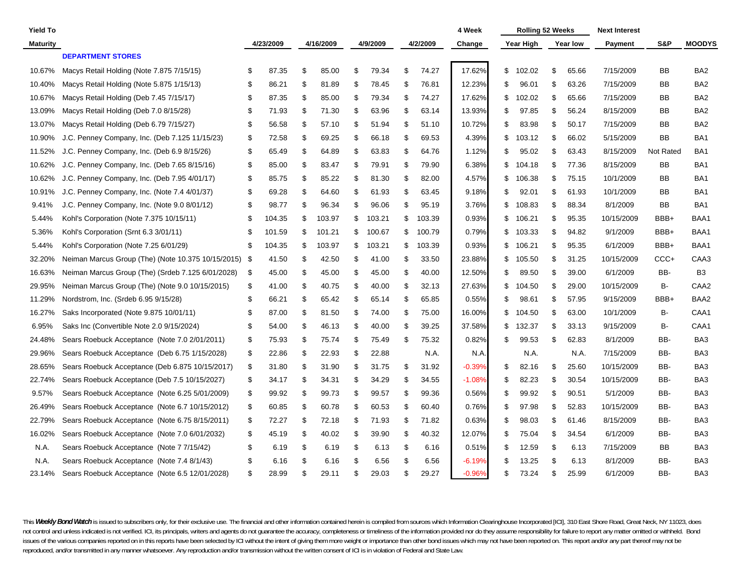| <b>Yield To</b> |                                                    |     |           |              |               |          |              | 4 Week   | <b>Rolling 52 Weeks</b> |             | <b>Next Interest</b> |           |                  |
|-----------------|----------------------------------------------------|-----|-----------|--------------|---------------|----------|--------------|----------|-------------------------|-------------|----------------------|-----------|------------------|
| <b>Maturity</b> |                                                    |     | 4/23/2009 | 4/16/2009    |               | 4/9/2009 | 4/2/2009     | Change   | Year High               | Year low    | <b>Payment</b>       | S&P       | <b>MOODYS</b>    |
|                 | <b>DEPARTMENT STORES</b>                           |     |           |              |               |          |              |          |                         |             |                      |           |                  |
| 10.67%          | Macys Retail Holding (Note 7.875 7/15/15)          | S   | 87.35     | \$<br>85.00  | \$            | 79.34    | \$<br>74.27  | 17.62%   | \$<br>102.02            | \$<br>65.66 | 7/15/2009            | ВB        | BA <sub>2</sub>  |
| 10.40%          | Macys Retail Holding (Note 5.875 1/15/13)          | \$  | 86.21     | \$<br>81.89  | \$            | 78.45    | \$<br>76.81  | 12.23%   | \$<br>96.01             | \$<br>63.26 | 7/15/2009            | BB        | BA <sub>2</sub>  |
| 10.67%          | Macys Retail Holding (Deb 7.45 7/15/17)            | \$  | 87.35     | \$<br>85.00  | \$            | 79.34    | \$<br>74.27  | 17.62%   | \$<br>102.02            | \$<br>65.66 | 7/15/2009            | BB        | BA <sub>2</sub>  |
| 13.09%          | Macys Retail Holding (Deb 7.0 8/15/28)             | \$  | 71.93     | \$<br>71.30  | \$            | 63.96    | \$<br>63.14  | 13.93%   | \$<br>97.85             | \$<br>56.24 | 8/15/2009            | BB        | BA <sub>2</sub>  |
| 13.07%          | Macys Retail Holding (Deb 6.79 7/15/27)            | \$  | 56.58     | \$<br>57.10  | \$            | 51.94    | \$<br>51.10  | 10.72%   | \$<br>83.98             | \$<br>50.17 | 7/15/2009            | ΒB        | BA <sub>2</sub>  |
| 10.90%          | J.C. Penney Company, Inc. (Deb 7.125 11/15/23)     | \$  | 72.58     | \$<br>69.25  | \$            | 66.18    | \$<br>69.53  | 4.39%    | \$<br>103.12            | \$<br>66.02 | 5/15/2009            | ΒB        | BA1              |
| 11.52%          | C. Penney Company, Inc. (Deb 6.9 8/15/26)<br>J.    | \$  | 65.49     | \$<br>64.89  | Ŝ.            | 63.83    | \$<br>64.76  | 1.12%    | \$<br>95.02             | \$<br>63.43 | 8/15/2009            | Not Rated | BA <sub>1</sub>  |
| 10.62%          | J.C. Penney Company, Inc. (Deb 7.65 8/15/16)       | \$  | 85.00     | \$<br>83.47  | \$            | 79.91    | \$<br>79.90  | 6.38%    | \$<br>104.18            | \$<br>77.36 | 8/15/2009            | BВ        | BA1              |
| 10.62%          | J.C. Penney Company, Inc. (Deb 7.95 4/01/17)       | \$  | 85.75     | \$<br>85.22  | \$            | 81.30    | \$<br>82.00  | 4.57%    | \$<br>106.38            | \$<br>75.15 | 10/1/2009            | ВB        | BA1              |
| 10.91%          | J.C. Penney Company, Inc. (Note 7.4 4/01/37)       | \$  | 69.28     | \$<br>64.60  | Ŝ.            | 61.93    | \$<br>63.45  | 9.18%    | \$<br>92.01             | \$<br>61.93 | 10/1/2009            | BB        | BA <sub>1</sub>  |
| 9.41%           | J.C. Penney Company, Inc. (Note 9.0 8/01/12)       | \$  | 98.77     | \$<br>96.34  | \$            | 96.06    | \$<br>95.19  | 3.76%    | \$<br>108.83            | \$<br>88.34 | 8/1/2009             | ВB        | BA1              |
| 5.44%           | Kohl's Corporation (Note 7.375 10/15/11)           | \$  | 104.35    | \$<br>103.97 | \$            | 103.21   | \$<br>103.39 | 0.93%    | \$<br>106.21            | \$<br>95.35 | 10/15/2009           | BBB+      | BAA1             |
| 5.36%           | Kohl's Corporation (Srnt 6.3 3/01/11)              | \$  | 101.59    | \$<br>101.21 | \$            | 100.67   | \$<br>100.79 | 0.79%    | \$<br>103.33            | \$<br>94.82 | 9/1/2009             | BBB+      | BAA1             |
| 5.44%           | Kohl's Corporation (Note 7.25 6/01/29)             | \$  | 104.35    | \$<br>103.97 | \$            | 103.21   | \$<br>103.39 | 0.93%    | \$<br>106.21            | \$<br>95.35 | 6/1/2009             | BBB+      | BAA1             |
| 32.20%          | Neiman Marcus Group (The) (Note 10.375 10/15/2015) | -\$ | 41.50     | \$<br>42.50  | \$            | 41.00    | \$<br>33.50  | 23.88%   | \$<br>105.50            | \$<br>31.25 | 10/15/2009           | CCC+      | CAA3             |
| 16.63%          | Neiman Marcus Group (The) (Srdeb 7.125 6/01/2028)  | \$  | 45.00     | \$<br>45.00  | -\$           | 45.00    | \$<br>40.00  | 12.50%   | \$<br>89.50             | \$<br>39.00 | 6/1/2009             | BB-       | B <sub>3</sub>   |
| 29.95%          | Neiman Marcus Group (The) (Note 9.0 10/15/2015)    | \$  | 41.00     | \$<br>40.75  | Ŝ.            | 40.00    | \$<br>32.13  | 27.63%   | \$<br>104.50            | \$<br>29.00 | 10/15/2009           | в-        | CAA <sub>2</sub> |
| 11.29%          | Nordstrom, Inc. (Srdeb 6.95 9/15/28)               | \$  | 66.21     | \$<br>65.42  | <sup>\$</sup> | 65.14    | \$<br>65.85  | 0.55%    | \$<br>98.61             | \$<br>57.95 | 9/15/2009            | BBB+      | BAA2             |
| 16.27%          | Saks Incorporated (Note 9.875 10/01/11)            | \$  | 87.00     | \$<br>81.50  | Ŝ.            | 74.00    | \$<br>75.00  | 16.00%   | \$<br>104.50            | \$<br>63.00 | 10/1/2009            | в-        | CAA1             |
| 6.95%           | Saks Inc (Convertible Note 2.0 9/15/2024)          | \$  | 54.00     | \$<br>46.13  | -\$           | 40.00    | \$<br>39.25  | 37.58%   | \$<br>132.37            | \$<br>33.13 | 9/15/2009            | в-        | CAA1             |
| 24.48%          | Sears Roebuck Acceptance (Note 7.0 2/01/2011)      | \$  | 75.93     | \$<br>75.74  | -\$           | 75.49    | \$<br>75.32  | 0.82%    | \$<br>99.53             | \$<br>62.83 | 8/1/2009             | BB-       | BA3              |
| 29.96%          | Sears Roebuck Acceptance (Deb 6.75 1/15/2028)      | \$  | 22.86     | \$<br>22.93  | -\$           | 22.88    | N.A.         | N.A.     | N.A.                    | N.A.        | 7/15/2009            | BB-       | BA3              |
| 28.65%          | Sears Roebuck Acceptance (Deb 6.875 10/15/2017)    | \$  | 31.80     | \$<br>31.90  | Ŝ.            | 31.75    | \$<br>31.92  | $-0.39%$ | \$<br>82.16             | \$<br>25.60 | 10/15/2009           | BB-       | BA3              |
| 22.74%          | Sears Roebuck Acceptance (Deb 7.5 10/15/2027)      | \$  | 34.17     | \$<br>34.31  | \$            | 34.29    | \$<br>34.55  | $-1.08%$ | \$<br>82.23             | \$<br>30.54 | 10/15/2009           | BB-       | BA3              |
| 9.57%           | Sears Roebuck Acceptance (Note 6.25 5/01/2009)     | \$  | 99.92     | \$<br>99.73  | \$            | 99.57    | \$<br>99.36  | 0.56%    | \$<br>99.92             | \$<br>90.51 | 5/1/2009             | BB-       | BA3              |
| 26.49%          | Sears Roebuck Acceptance (Note 6.7 10/15/2012)     | \$  | 60.85     | \$<br>60.78  | \$            | 60.53    | \$<br>60.40  | 0.76%    | \$<br>97.98             | \$<br>52.83 | 10/15/2009           | BB-       | BA3              |
| 22.79%          | Sears Roebuck Acceptance (Note 6.75 8/15/2011)     | \$  | 72.27     | \$<br>72.18  | -\$           | 71.93    | \$<br>71.82  | 0.63%    | \$<br>98.03             | \$<br>61.46 | 8/15/2009            | BB-       | BA3              |
| 16.02%          | Sears Roebuck Acceptance (Note 7.0 6/01/2032)      | \$  | 45.19     | \$<br>40.02  | Ŝ.            | 39.90    | \$<br>40.32  | 12.07%   | \$<br>75.04             | \$<br>34.54 | 6/1/2009             | BB-       | BA3              |
| N.A.            | Sears Roebuck Acceptance (Note 7 7/15/42)          | \$  | 6.19      | \$<br>6.19   | -\$           | 6.13     | \$<br>6.16   | 0.51%    | \$<br>12.59             | \$<br>6.13  | 7/15/2009            | ВB        | BA3              |
| N.A.            | Sears Roebuck Acceptance (Note 7.4 8/1/43)         | \$  | 6.16      | \$<br>6.16   | \$            | 6.56     | \$<br>6.56   | $-6.19%$ | \$<br>13.25             | \$<br>6.13  | 8/1/2009             | BB-       | BA3              |
| 23.14%          | Sears Roebuck Acceptance (Note 6.5 12/01/2028)     | \$  | 28.99     | \$<br>29.11  | \$            | 29.03    | \$<br>29.27  | $-0.96%$ | \$<br>73.24             | \$<br>25.99 | 6/1/2009             | BB-       | BA3              |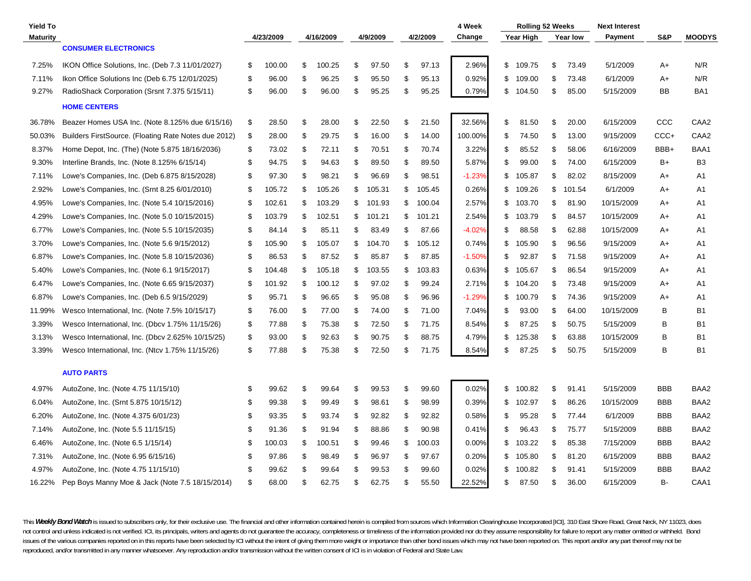| <b>Yield To</b> |                                                      |    |           |              |    |          |     |          | 4 Week   | <b>Rolling 52 Weeks</b> |              | <b>Next Interest</b> |            |                  |
|-----------------|------------------------------------------------------|----|-----------|--------------|----|----------|-----|----------|----------|-------------------------|--------------|----------------------|------------|------------------|
| <b>Maturity</b> |                                                      |    | 4/23/2009 | 4/16/2009    |    | 4/9/2009 |     | 4/2/2009 | Change   | Year High               | Year low     | <b>Payment</b>       | S&P        | <b>MOODYS</b>    |
|                 | <b>CONSUMER ELECTRONICS</b>                          |    |           |              |    |          |     |          |          |                         |              |                      |            |                  |
| 7.25%           | IKON Office Solutions, Inc. (Deb 7.3 11/01/2027)     | \$ | 100.00    | \$<br>100.25 | \$ | 97.50    | \$  | 97.13    | 2.96%    | \$<br>109.75            | \$<br>73.49  | 5/1/2009             | A+         | N/R              |
| 7.11%           | Ikon Office Solutions Inc (Deb 6.75 12/01/2025)      | \$ | 96.00     | \$<br>96.25  | \$ | 95.50    | \$  | 95.13    | 0.92%    | \$<br>109.00            | \$<br>73.48  | 6/1/2009             | A+         | N/R              |
| 9.27%           | RadioShack Corporation (Srsnt 7.375 5/15/11)         | \$ | 96.00     | \$<br>96.00  | \$ | 95.25    | \$  | 95.25    | 0.79%    | \$<br>104.50            | \$<br>85.00  | 5/15/2009            | BB         | BA <sub>1</sub>  |
|                 | <b>HOME CENTERS</b>                                  |    |           |              |    |          |     |          |          |                         |              |                      |            |                  |
| 36.78%          | Beazer Homes USA Inc. (Note 8.125% due 6/15/16)      | \$ | 28.50     | \$<br>28.00  | \$ | 22.50    | \$  | 21.50    | 32.56%   | \$<br>81.50             | \$<br>20.00  | 6/15/2009            | CCC        | CAA <sub>2</sub> |
| 50.03%          | Builders FirstSource. (Floating Rate Notes due 2012) | \$ | 28.00     | \$<br>29.75  | \$ | 16.00    | \$  | 14.00    | 100.00%  | \$<br>74.50             | \$<br>13.00  | 9/15/2009            | CCC+       | CAA2             |
| 8.37%           | Home Depot, Inc. (The) (Note 5.875 18/16/2036)       | \$ | 73.02     | \$<br>72.11  | \$ | 70.51    | \$  | 70.74    | 3.22%    | \$<br>85.52             | \$<br>58.06  | 6/16/2009            | BBB+       | BAA1             |
| 9.30%           | Interline Brands, Inc. (Note 8.125% 6/15/14)         | \$ | 94.75     | \$<br>94.63  | \$ | 89.50    | \$  | 89.50    | 5.87%    | \$<br>99.00             | \$<br>74.00  | 6/15/2009            | B+         | B <sub>3</sub>   |
| 7.11%           | Lowe's Companies, Inc. (Deb 6.875 8/15/2028)         | \$ | 97.30     | \$<br>98.21  | \$ | 96.69    | \$  | 98.51    | $-1.23%$ | \$<br>105.87            | \$<br>82.02  | 8/15/2009            | A+         | A1               |
| 2.92%           | Lowe's Companies, Inc. (Srnt 8.25 6/01/2010)         | \$ | 105.72    | \$<br>105.26 | \$ | 105.31   | \$  | 105.45   | 0.26%    | \$<br>109.26            | \$<br>101.54 | 6/1/2009             | A+         | A1               |
| 4.95%           | Lowe's Companies, Inc. (Note 5.4 10/15/2016)         | \$ | 102.61    | \$<br>103.29 | \$ | 101.93   | \$  | 100.04   | 2.57%    | \$<br>103.70            | \$<br>81.90  | 10/15/2009           | A+         | A1               |
| 4.29%           | Lowe's Companies, Inc. (Note 5.0 10/15/2015)         | \$ | 103.79    | \$<br>102.51 | \$ | 101.21   | \$  | 101.21   | 2.54%    | \$<br>103.79            | \$<br>84.57  | 10/15/2009           | A+         | A1               |
| 6.77%           | Lowe's Companies, Inc. (Note 5.5 10/15/2035)         | \$ | 84.14     | \$<br>85.11  | \$ | 83.49    | \$  | 87.66    | $-4.02%$ | \$<br>88.58             | \$<br>62.88  | 10/15/2009           | A+         | A1               |
| 3.70%           | Lowe's Companies, Inc. (Note 5.6 9/15/2012)          | \$ | 105.90    | \$<br>105.07 | \$ | 104.70   | \$  | 105.12   | 0.74%    | \$<br>105.90            | \$<br>96.56  | 9/15/2009            | A+         | A1               |
| 6.87%           | Lowe's Companies, Inc. (Note 5.8 10/15/2036)         | \$ | 86.53     | \$<br>87.52  | \$ | 85.87    | \$  | 87.85    | $-1.50%$ | \$<br>92.87             | \$<br>71.58  | 9/15/2009            | A+         | A <sub>1</sub>   |
| 5.40%           | Lowe's Companies, Inc. (Note 6.1 9/15/2017)          | \$ | 104.48    | \$<br>105.18 | \$ | 103.55   | \$  | 103.83   | 0.63%    | \$<br>105.67            | \$<br>86.54  | 9/15/2009            | A+         | A1               |
| 6.47%           | Lowe's Companies, Inc. (Note 6.65 9/15/2037)         | \$ | 101.92    | \$<br>100.12 | \$ | 97.02    | \$  | 99.24    | 2.71%    | \$<br>104.20            | \$<br>73.48  | 9/15/2009            | A+         | A1               |
| 6.87%           | Lowe's Companies, Inc. (Deb 6.5 9/15/2029)           | \$ | 95.71     | \$<br>96.65  | \$ | 95.08    | \$  | 96.96    | $-1.29%$ | \$<br>100.79            | \$<br>74.36  | 9/15/2009            | A+         | A1               |
| 11.99%          | Wesco International, Inc. (Note 7.5% 10/15/17)       | \$ | 76.00     | \$<br>77.00  | S  | 74.00    | \$  | 71.00    | 7.04%    | \$<br>93.00             | \$<br>64.00  | 10/15/2009           | B          | B <sub>1</sub>   |
| 3.39%           | Wesco International, Inc. (Dbcv 1.75% 11/15/26)      | \$ | 77.88     | \$<br>75.38  | \$ | 72.50    | \$  | 71.75    | 8.54%    | \$<br>87.25             | \$<br>50.75  | 5/15/2009            | в          | B <sub>1</sub>   |
| 3.13%           | Wesco International, Inc. (Dbcv 2.625% 10/15/25)     | \$ | 93.00     | \$<br>92.63  | \$ | 90.75    | \$  | 88.75    | 4.79%    | \$<br>125.38            | \$<br>63.88  | 10/15/2009           | B          | B <sub>1</sub>   |
| 3.39%           | Wesco International, Inc. (Ntcv 1.75% 11/15/26)      | \$ | 77.88     | \$<br>75.38  | \$ | 72.50    | \$  | 71.75    | 8.54%    | \$<br>87.25             | \$<br>50.75  | 5/15/2009            | B          | <b>B1</b>        |
|                 | <b>AUTO PARTS</b>                                    |    |           |              |    |          |     |          |          |                         |              |                      |            |                  |
| 4.97%           | AutoZone, Inc. (Note 4.75 11/15/10)                  | \$ | 99.62     | \$<br>99.64  | \$ | 99.53    | \$  | 99.60    | 0.02%    | \$<br>100.82            | \$<br>91.41  | 5/15/2009            | <b>BBB</b> | BAA2             |
| 6.04%           | AutoZone, Inc. (Srnt 5.875 10/15/12)                 | \$ | 99.38     | \$<br>99.49  | \$ | 98.61    | \$  | 98.99    | 0.39%    | \$<br>102.97            | \$<br>86.26  | 10/15/2009           | <b>BBB</b> | BAA2             |
| 6.20%           | AutoZone, Inc. (Note 4.375 6/01/23)                  | \$ | 93.35     | \$<br>93.74  | \$ | 92.82    | \$  | 92.82    | 0.58%    | \$<br>95.28             | \$<br>77.44  | 6/1/2009             | BBB        | BAA2             |
| 7.14%           | AutoZone, Inc. (Note 5.5 11/15/15)                   | -S | 91.36     | \$<br>91.94  | \$ | 88.86    | \$  | 90.98    | 0.41%    | \$<br>96.43             | \$<br>75.77  | 5/15/2009            | BBB        | BAA2             |
| 6.46%           | AutoZone, Inc. (Note 6.5 1/15/14)                    | S  | 100.03    | \$<br>100.51 | \$ | 99.46    | \$  | 100.03   | $0.00\%$ | \$<br>103.22            | \$<br>85.38  | 7/15/2009            | <b>BBB</b> | BAA2             |
| 7.31%           | AutoZone, Inc. (Note 6.95 6/15/16)                   | S  | 97.86     | \$<br>98.49  | \$ | 96.97    | \$  | 97.67    | 0.20%    | \$<br>105.80            | \$<br>81.20  | 6/15/2009            | <b>BBB</b> | BAA2             |
| 4.97%           | AutoZone, Inc. (Note 4.75 11/15/10)                  | \$ | 99.62     | \$<br>99.64  | S  | 99.53    | \$. | 99.60    | 0.02%    | \$<br>100.82            | \$<br>91.41  | 5/15/2009            | <b>BBB</b> | BAA2             |
| 16.22%          | Pep Boys Manny Moe & Jack (Note 7.5 18/15/2014)      | \$ | 68.00     | \$<br>62.75  | \$ | 62.75    | \$  | 55.50    | 22.52%   | \$<br>87.50             | \$<br>36.00  | 6/15/2009            | в-         | CAA1             |